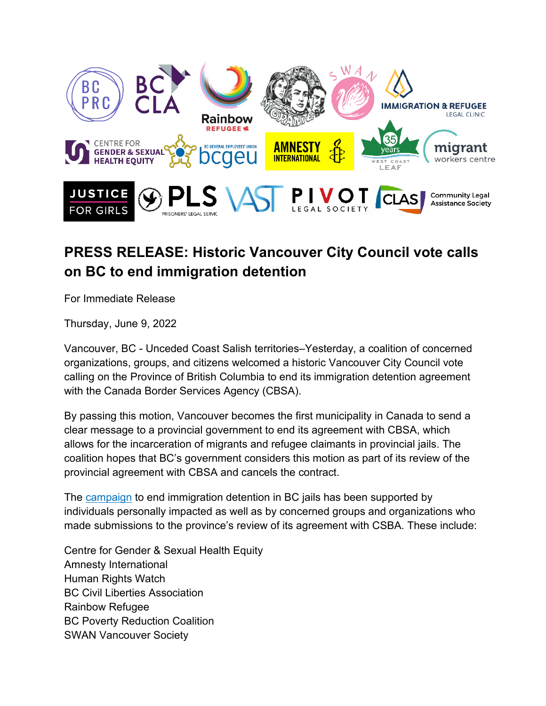

## **PRESS RELEASE: Historic Vancouver City Council vote calls on BC to end immigration detention**

For Immediate Release

Thursday, June 9, 2022

Vancouver, BC - Unceded Coast Salish territories–Yesterday, a coalition of concerned organizations, groups, and citizens welcomed a historic Vancouver City Council vote calling on the Province of British Columbia to end its immigration detention agreement with the Canada Border Services Agency (CBSA).

By passing this motion, Vancouver becomes the first municipality in Canada to send a clear message to a provincial government to end its agreement with CBSA, which allows for the incarceration of migrants and refugee claimants in provincial jails. The coalition hopes that BC's government considers this motion as part of its review of the provincial agreement with CBSA and cancels the contract.

The [campaign](https://www.bcpovertyreduction.ca/posts-and-releases/end-immigration-detention-in-bc-jails) to end immigration detention in BC jails has been supported by individuals personally impacted as well as by concerned groups and organizations who made submissions to the province's review of its agreement with CSBA. These include:

Centre for Gender & Sexual Health Equity Amnesty International Human Rights Watch BC Civil Liberties Association Rainbow Refugee BC Poverty Reduction Coalition SWAN Vancouver Society